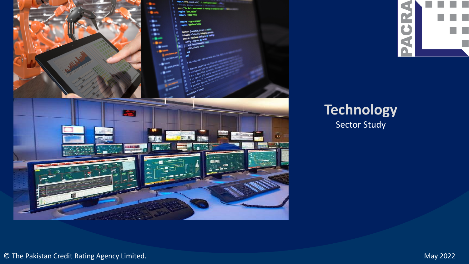



### **Technology** Sector Study

© The Pakistan Credit Rating Agency Limited. May 2022

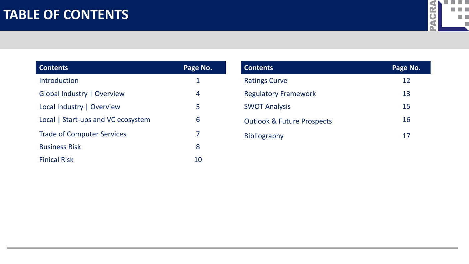### **TABLE OF CONTENTS**



| <b>Contents</b>                    | Page No. |
|------------------------------------|----------|
| Introduction                       | 1        |
| Global Industry   Overview         | 4        |
| Local Industry   Overview          | 5        |
| Local   Start-ups and VC ecosystem | 6        |
| <b>Trade of Computer Services</b>  | 7        |
| <b>Business Risk</b>               | 8        |
| <b>Finical Risk</b>                |          |

| <b>Contents</b>                       | Page No. |
|---------------------------------------|----------|
| <b>Ratings Curve</b>                  | 12       |
| <b>Regulatory Framework</b>           | 13       |
| <b>SWOT Analysis</b>                  | 15       |
| <b>Outlook &amp; Future Prospects</b> | 16       |
| <b>Bibliography</b>                   | 17       |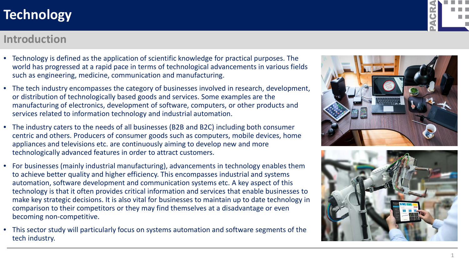#### **Introduction**

- Technology is defined as the application of scientific knowledge for practical purposes. The world has progressed at a rapid pace in terms of technological advancements in various fields such as engineering, medicine, communication and manufacturing.
- The tech industry encompasses the category of businesses involved in research, development, or distribution of technologically based goods and services. Some examples are the manufacturing of electronics, development of software, computers, or other products and services related to information technology and industrial automation.
- The industry caters to the needs of all businesses (B2B and B2C) including both consumer centric and others. Producers of consumer goods such as computers, mobile devices, home appliances and televisions etc. are continuously aiming to develop new and more technologically advanced features in order to attract customers.
- For businesses (mainly industrial manufacturing), advancements in technology enables them to achieve better quality and higher efficiency. This encompasses industrial and systems automation, software development and communication systems etc. A key aspect of this technology is that it often provides critical information and services that enable businesses to make key strategic decisions. It is also vital for businesses to maintain up to date technology in comparison to their competitors or they may find themselves at a disadvantage or even becoming non-competitive.
- This sector study will particularly focus on systems automation and software segments of the tech industry.





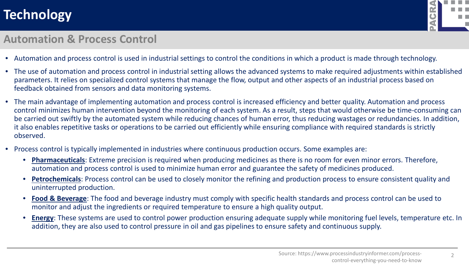

#### **Automation & Process Control**

- Automation and process control is used in industrial settings to control the conditions in which a product is made through technology.
- The use of automation and process control in industrial setting allows the advanced systems to make required adjustments within established parameters. It relies on specialized control systems that manage the flow, output and other aspects of an industrial process based on feedback obtained from sensors and data monitoring systems.
- The main advantage of implementing automation and process control is increased efficiency and better quality. Automation and process control minimizes human intervention beyond the monitoring of each system. As a result, steps that would otherwise be time-consuming can be carried out swiftly by the automated system while reducing chances of human error, thus reducing wastages or redundancies. In addition, it also enables repetitive tasks or operations to be carried out efficiently while ensuring compliance with required standards is strictly observed.
- Process control is typically implemented in industries where continuous production occurs. Some examples are:
	- **Pharmaceuticals**: Extreme precision is required when producing medicines as there is no room for even minor errors. Therefore, automation and process control is used to minimize human error and guarantee the safety of medicines produced.
	- **Petrochemicals**: Process control can be used to closely monitor the refining and production process to ensure consistent quality and uninterrupted production.
	- **Food & Beverage**: The food and beverage industry must comply with specific health standards and process control can be used to monitor and adjust the ingredients or required temperature to ensure a high quality output.
	- **Energy**: These systems are used to control power production ensuring adequate supply while monitoring fuel levels, temperature etc. In addition, they are also used to control pressure in oil and gas pipelines to ensure safety and continuous supply.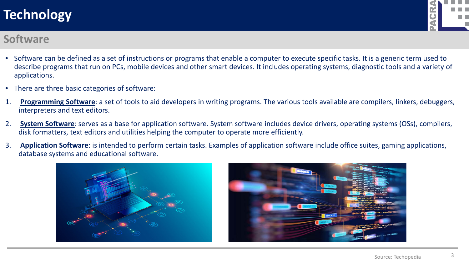

#### **Software**

- Software can be defined as a set of instructions or programs that enable a computer to execute specific tasks. It is a generic term used to describe programs that run on PCs, mobile devices and other smart devices. It includes operating systems, diagnostic tools and a variety of applications.
- There are three basic categories of software:
- 1. **Programming Software**: a set of tools to aid developers in writing programs. The various tools available are compilers, linkers, debuggers, interpreters and text editors.
- 2. **System Software**: serves as a base for application software. System software includes device drivers, operating systems (OSs), compilers, disk formatters, text editors and utilities helping the computer to operate more efficiently.
- 3. **Application Software**: is intended to perform certain tasks. Examples of application software include office suites, gaming applications, database systems and educational software.



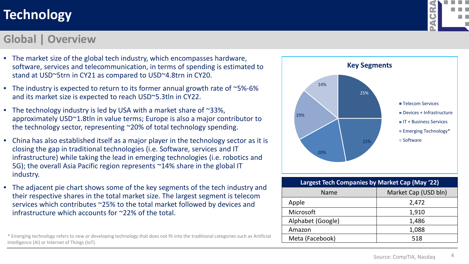#### **Global | Overview**

- The market size of the global tech industry, which encompasses hardware, software, services and telecommunication, in terms of spending is estimated to stand at USD~5trn in CY21 as compared to USD~4.8trn in CY20.
- The industry is expected to return to its former annual growth rate of ~5%-6% and its market size is expected to reach USD~5.3tln in CY22.
- The technology industry is led by USA with a market share of  $\sim$ 33%, approximately USD~1.8tln in value terms; Europe is also a major contributor to the technology sector, representing ~20% of total technology spending.
- China has also established itself as a major player in the technology sector as it is closing the gap in traditional technologies (i.e. Software, services and IT infrastructure) while taking the lead in emerging technologies (i.e. robotics and 5G); the overall Asia Pacific region represents ~14% share in the global IT industry.
- The adjacent pie chart shows some of the key segments of the tech industry and their respective shares in the total market size. The largest segment is telecom services which contributes ~25% to the total market followed by devices and infrastructure which accounts for ~22% of the total.

\* Emerging technology refers to new or developing technology that does not fit into the traditional categories such as Artificial Intelligence (AI) or Internet of Things (IoT).



| Largest Tech Companies by Market Cap (May '22) |                      |  |  |
|------------------------------------------------|----------------------|--|--|
| <b>Name</b>                                    | Market Cap (USD bln) |  |  |
| Apple                                          | 2,472                |  |  |
| Microsoft                                      | 1,910                |  |  |
| Alphabet (Google)                              | 1,486                |  |  |
| Amazon                                         | 1,088                |  |  |
| Meta (Facebook)                                | 518                  |  |  |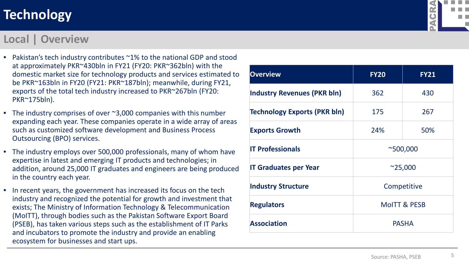#### **Local | Overview**

- Pakistan's tech industry contributes ~1% to the national GDP and stood at approximately PKR~430bln in FY21 (FY20: PKR~362bln) with the domestic market size for technology products and services estimated to be PKR~163bln in FY20 (FY21: PKR~187bln); meanwhile, during FY21, exports of the total tech industry increased to PKR~267bln (FY20: PKR~175bln).
- The industry comprises of over ~3,000 companies with this number expanding each year. These companies operate in a wide array of areas such as customized software development and Business Process Outsourcing (BPO) services.
- The industry employs over 500,000 professionals, many of whom have expertise in latest and emerging IT products and technologies; in addition, around 25,000 IT graduates and engineers are being produced in the country each year.
- In recent years, the government has increased its focus on the tech industry and recognized the potential for growth and investment that exists; The Ministry of Information Technology & Telecommunication (MoITT), through bodies such as the Pakistan Software Export Board (PSEB), has taken various steps such as the establishment of IT Parks and incubators to promote the industry and provide an enabling ecosystem for businesses and start ups.



| <b>Overview</b>                     | <b>FY20</b>             | <b>FY21</b> |
|-------------------------------------|-------------------------|-------------|
| <b>Industry Revenues (PKR bln)</b>  | 362                     | 430         |
| <b>Technology Exports (PKR bln)</b> | 175                     | 267         |
| <b>Exports Growth</b>               | 24%                     | 50%         |
| <b>IT Professionals</b>             | $^{\sim}500,000$        |             |
| <b>IT Graduates per Year</b>        | $^{\sim}25,000$         |             |
| <b>Industry Structure</b>           | Competitive             |             |
| <b>Regulators</b>                   | <b>MOITT &amp; PESB</b> |             |
| <b>Association</b>                  | <b>PASHA</b>            |             |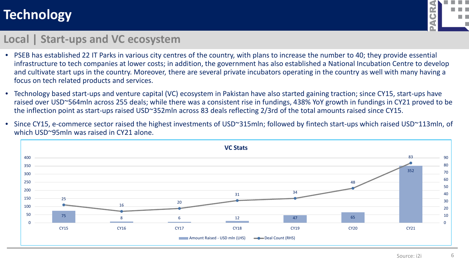

#### **Local | Start-ups and VC ecosystem**

- PSEB has established 22 IT Parks in various city centres of the country, with plans to increase the number to 40; they provide essential infrastructure to tech companies at lower costs; in addition, the government has also established a National Incubation Centre to develop and cultivate start ups in the country. Moreover, there are several private incubators operating in the country as well with many having a focus on tech related products and services.
- Technology based start-ups and venture capital (VC) ecosystem in Pakistan have also started gaining traction; since CY15, start-ups have raised over USD~564mln across 255 deals; while there was a consistent rise in fundings, 438% YoY growth in fundings in CY21 proved to be the inflection point as start-ups raised USD~352mln across 83 deals reflecting 2/3rd of the total amounts raised since CY15.
- Since CY15, e-commerce sector raised the highest investments of USD~315mln; followed by fintech start-ups which raised USD~113mln, of which USD~95mln was raised in CY21 alone.

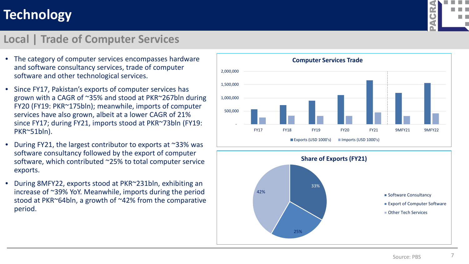#### **Local | Trade of Computer Services**

- The category of computer services encompasses hardware and software consultancy services, trade of computer software and other technological services.
- Since FY17, Pakistan's exports of computer services has grown with a CAGR of ~35% and stood at PKR~267bln during FY20 (FY19: PKR~175bln); meanwhile, imports of computer services have also grown, albeit at a lower CAGR of 21% since FY17; during FY21, imports stood at PKR~73bln (FY19: PKR~51bln).
- During FY21, the largest contributor to exports at ~33% was software consultancy followed by the export of computer software, which contributed ~25% to total computer service exports.
- During 8MFY22, exports stood at PKR~231bln, exhibiting an increase of ~39% YoY. Meanwhile, imports during the period stood at PKR~64bln, a growth of ~42% from the comparative period.



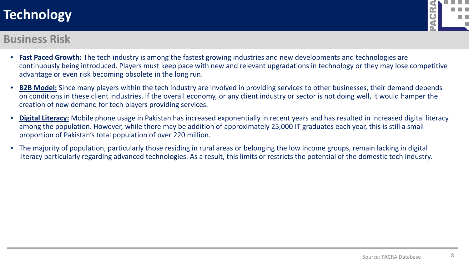

#### **Business Risk**

- **Fast Paced Growth:** The tech industry is among the fastest growing industries and new developments and technologies are continuously being introduced. Players must keep pace with new and relevant upgradations in technology or they may lose competitive advantage or even risk becoming obsolete in the long run.
- **B2B Model:** Since many players within the tech industry are involved in providing services to other businesses, their demand depends on conditions in these client industries. If the overall economy, or any client industry or sector is not doing well, it would hamper the creation of new demand for tech players providing services.
- **Digital Literacy:** Mobile phone usage in Pakistan has increased exponentially in recent years and has resulted in increased digital literacy among the population. However, while there may be addition of approximately 25,000 IT graduates each year, this is still a small proportion of Pakistan's total population of over 220 million.
- The majority of population, particularly those residing in rural areas or belonging the low income groups, remain lacking in digital literacy particularly regarding advanced technologies. As a result, this limits or restricts the potential of the domestic tech industry.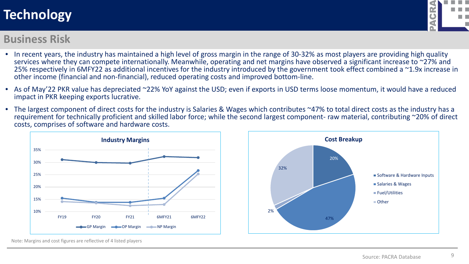#### **Business Risk**

- In recent years, the industry has maintained a high level of gross margin in the range of 30-32% as most players are providing high quality services where they can compete internationally. Meanwhile, operating and net margins have observed a significant increase to ~27% and 25% respectively in 6MFY22 as additional incentives for the industry introduced by the government took effect combined a ~1.9x increase in other income (financial and non-financial), reduced operating costs and improved bottom-line.
- As of May'22 PKR value has depreciated ~22% YoY against the USD; even if exports in USD terms loose momentum, it would have a reduced impact in PKR keeping exports lucrative.
- The largest component of direct costs for the industry is Salaries & Wages which contributes ~47% to total direct costs as the industry has a requirement for technically proficient and skilled labor force; while the second largest component- raw material, contributing ~20% of direct costs, comprises of software and hardware costs.





Note: Margins and cost figures are reflective of 4 listed players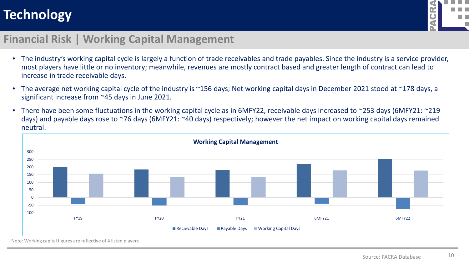

#### **Financial Risk | Working Capital Management**

- The industry's working capital cycle is largely a function of trade receivables and trade payables. Since the industry is a service provider, most players have little or no inventory; meanwhile, revenues are mostly contract based and greater length of contract can lead to increase in trade receivable days.
- The average net working capital cycle of the industry is ~156 days; Net working capital days in December 2021 stood at ~178 days, a significant increase from ~45 days in June 2021.
- There have been some fluctuations in the working capital cycle as in 6MFY22, receivable days increased to ~253 days (6MFY21: ~219 days) and payable days rose to ~76 days (6MFY21: ~40 days) respectively; however the net impact on working capital days remained neutral.



Note: Working capital figures are reflective of 4 listed players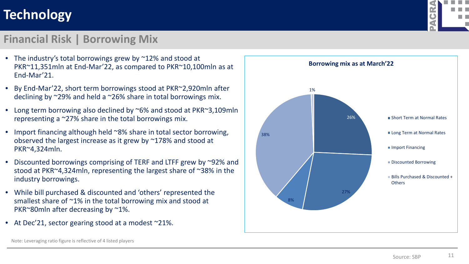### **Financial Risk | Borrowing Mix**

- The industry's total borrowings grew by ~12% and stood at PKR~11,351mln at End-Mar'22, as compared to PKR~10,100mln as at End-Mar'21.
- By End-Mar'22, short term borrowings stood at PKR~2,920mln after declining by ~29% and held a ~26% share in total borrowings mix.
- Long term borrowing also declined by ~6% and stood at PKR~3,109mln representing a ~27% share in the total borrowings mix.
- Import financing although held ~8% share in total sector borrowing, observed the largest increase as it grew by ~178% and stood at PKR~4,324mln.
- Discounted borrowings comprising of TERF and LTFF grew by ~92% and stood at PKR~4,324mln, representing the largest share of ~38% in the industry borrowings.
- While bill purchased & discounted and 'others' represented the smallest share of ~1% in the total borrowing mix and stood at PKR~80mln after decreasing by ~1%.
- At Dec'21, sector gearing stood at a modest ~21%.





Note: Leveraging ratio figure is reflective of 4 listed players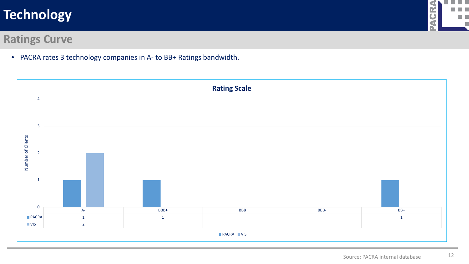#### n n ⋖ ш **GR** m n  $\blacksquare$

### **Ratings Curve**

• PACRA rates 3 technology companies in A- to BB+ Ratings bandwidth.

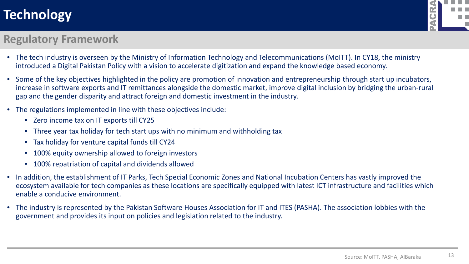

#### **Regulatory Framework**

- The tech industry is overseen by the Ministry of Information Technology and Telecommunications (MoITT). In CY18, the ministry introduced a Digital Pakistan Policy with a vision to accelerate digitization and expand the knowledge based economy.
- Some of the key objectives highlighted in the policy are promotion of innovation and entrepreneurship through start up incubators, increase in software exports and IT remittances alongside the domestic market, improve digital inclusion by bridging the urban-rural gap and the gender disparity and attract foreign and domestic investment in the industry.
- The regulations implemented in line with these objectives include:
	- Zero income tax on IT exports till CY25
	- Three year tax holiday for tech start ups with no minimum and withholding tax
	- Tax holiday for venture capital funds till CY24
	- 100% equity ownership allowed to foreign investors
	- 100% repatriation of capital and dividends allowed
- In addition, the establishment of IT Parks, Tech Special Economic Zones and National Incubation Centers has vastly improved the ecosystem available for tech companies as these locations are specifically equipped with latest ICT infrastructure and facilities which enable a conducive environment.
- The industry is represented by the Pakistan Software Houses Association for IT and ITES (PASHA). The association lobbies with the government and provides its input on policies and legislation related to the industry.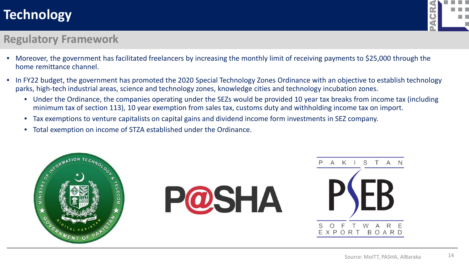

#### **Regulatory Framework**

- Moreover, the government has facilitated freelancers by increasing the monthly limit of receiving payments to \$25,000 through the home remittance channel.
- In FY22 budget, the government has promoted the 2020 Special Technology Zones Ordinance with an objective to establish technology parks, high-tech industrial areas, science and technology zones, knowledge cities and technology incubation zones.
	- Under the Ordinance, the companies operating under the SEZs would be provided 10 year tax breaks from income tax (including minimum tax of section 113), 10 year exemption from sales tax, customs duty and withholding income tax on import.
	- Tax exemptions to venture capitalists on capital gains and dividend income form investments in SEZ company.
	- Total exemption on income of STZA established under the Ordinance.

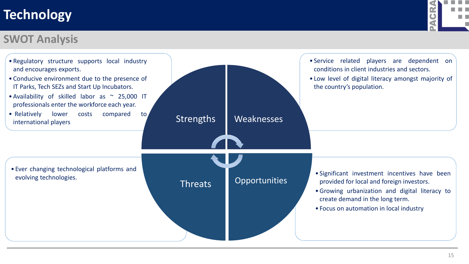

#### **SWOT Analysis**

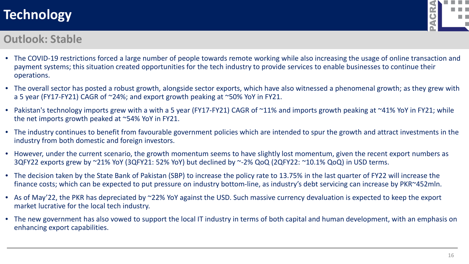

#### **Outlook: Stable**

- The COVID-19 restrictions forced a large number of people towards remote working while also increasing the usage of online transaction and payment systems; this situation created opportunities for the tech industry to provide services to enable businesses to continue their operations.
- The overall sector has posted a robust growth, alongside sector exports, which have also witnessed a phenomenal growth; as they grew with a 5 year (FY17-FY21) CAGR of ~24%; and export growth peaking at ~50% YoY in FY21.
- Pakistan's technology imports grew with a with a 5 year (FY17-FY21) CAGR of ~11% and imports growth peaking at ~41% YoY in FY21; while the net imports growth peaked at ~54% YoY in FY21.
- The industry continues to benefit from favourable government policies which are intended to spur the growth and attract investments in the industry from both domestic and foreign investors.
- However, under the current scenario, the growth momentum seems to have slightly lost momentum, given the recent export numbers as 3QFY22 exports grew by ~21% YoY (3QFY21: 52% YoY) but declined by ~-2% QoQ (2QFY22: ~10.1% QoQ) in USD terms.
- The decision taken by the State Bank of Pakistan (SBP) to increase the policy rate to 13.75% in the last quarter of FY22 will increase the finance costs; which can be expected to put pressure on industry bottom-line, as industry's debt servicing can increase by PKR~452mln.
- As of May'22, the PKR has depreciated by ~22% YoY against the USD. Such massive currency devaluation is expected to keep the export market lucrative for the local tech industry.
- The new government has also vowed to support the local IT industry in terms of both capital and human development, with an emphasis on enhancing export capabilities.